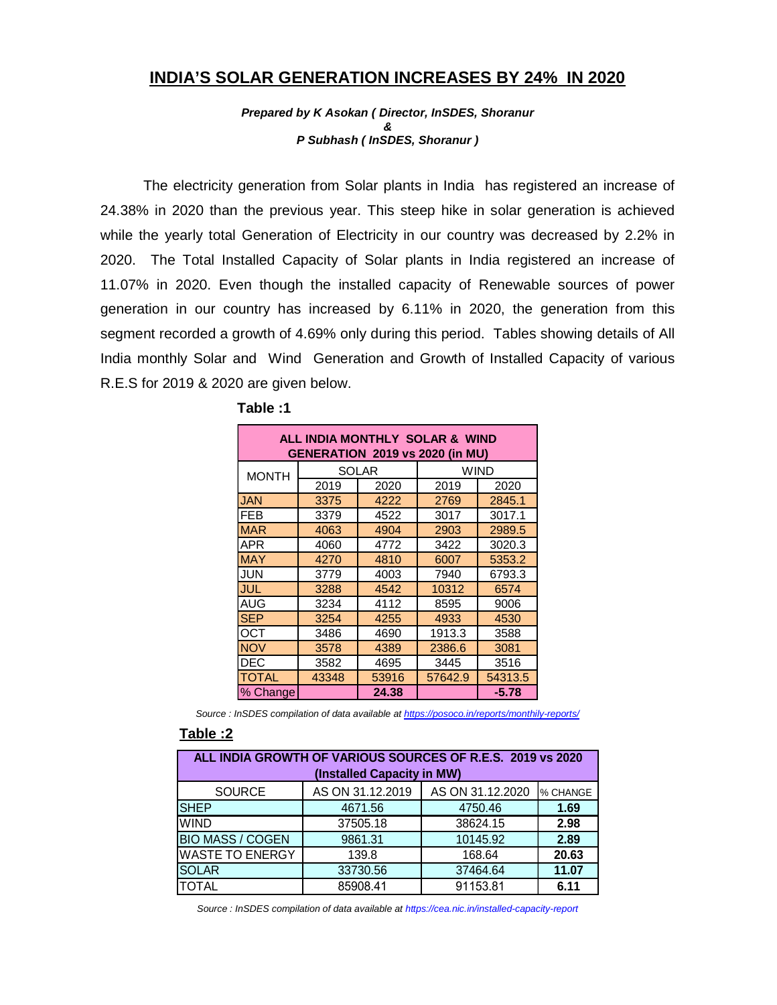## INDIA'S SOLAR GENERATION INCREASES BY 24% IN 2020

Prepared by K Asokan ( Director, InSDES, Shoranur & P Subhash ( InSDES, Shoranur )

The electricity generation from Solar plants in India has registered an increase of 24.38% in 2020 than the previous year. This steep hike in solar generation is achieved while the yearly total Generation of Electricity in our country was decreased by 2.2% in 2020. The Total Installed Capacity of Solar plants in India registered an increase of 11.07% in 2020. Even though the installed capacity of Renewable sources of power generation in our country has increased by 6.11% in 2020, the generation from this segment recorded a growth of 4.69% only during this period. Tables showing details of All India monthly Solar and Wind Generation and Growth of Installed Capacity of various R.E.S for 2019 & 2020 are given below. rom Solar plants in India has registered an increase of<br>s year. This steep hike in solar generation is achieved<br>of Electricity in our country was decreased by 2.2% in<br>city of Solar plants in India registered an increase of generation from Solar plants in India has registered an increase of<br>the previous year. This steep hike in solar generation is achieved<br>Generation of Electricity in our country was decreased by 2.2% in<br>talled Capacity of So generation from Solar plants in India has registered an increase of<br>the previous year. This steep hike in solar generation is achieved<br>Generation of Electricity in our country was decreased by 2.2% in<br>talled Capacity of S the previous year. This steep hike in solar generation is achieved<br>
Generation of Electricity in our country was decreased by 2.2% in<br>
talled Capacity of Solar plants in India registered an increase of<br>
the modyn the insta The previous year. This steep line in solar generation is achieved<br>
Generation of Electricity in our country was decreased by 2.2% in<br>
talled Capacity of Solar plants in India registered an increase of<br>
on though the insta Generation of Electricity in our country was decreased by 2.2% in<br>talled Capacity of Solar plants in India registered an increase of<br>entroduction the installed capacity of Renewable sources of power<br>untry has increased by

|                  | Total Installed Capacity of Solar plants in India registered an increase of                  |              |                                 |                     |                  |          |
|------------------|----------------------------------------------------------------------------------------------|--------------|---------------------------------|---------------------|------------------|----------|
|                  | 2020. Even though the installed capacity of Renewable sources of power                       |              |                                 |                     |                  |          |
|                  | n our country has increased by 6.11% in 2020, the generation from this                       |              |                                 |                     |                  |          |
|                  | orded a growth of 4.69% only during this period. Tables showing details of All               |              |                                 |                     |                  |          |
|                  | y Solar and Wind Generation and Growth of Installed Capacity of various                      |              |                                 |                     |                  |          |
|                  |                                                                                              |              |                                 |                     |                  |          |
|                  | 19 & 2020 are given below.                                                                   |              |                                 |                     |                  |          |
|                  | Table:1                                                                                      |              |                                 |                     |                  |          |
|                  |                                                                                              |              | ALL INDIA MONTHLY SOLAR & WIND  |                     |                  |          |
|                  |                                                                                              |              | GENERATION 2019 vs 2020 (in MU) |                     |                  |          |
|                  | <b>MONTH</b>                                                                                 | 2019         | <b>SOLAR</b><br>2020            | <b>WIND</b><br>2019 | 2020             |          |
|                  | <b>JAN</b>                                                                                   | 3375         | 4222                            | 2769                | 2845.1           |          |
|                  | $\overline{FEB}$                                                                             | 3379         | 4522                            | 3017                | 3017.1           |          |
|                  | <b>MAR</b>                                                                                   | 4063         | 4904                            | 2903                | 2989.5           |          |
|                  | APR                                                                                          | 4060         | 4772                            | 3422                | 3020.3           |          |
|                  | <b>MAY</b>                                                                                   | 4270         | 4810                            | 6007                | 5353.2           |          |
|                  | JUN                                                                                          | 3779         | 4003                            | 7940                | 6793.3           |          |
|                  | <b>JUL</b><br>AUG                                                                            | 3288         | 4542<br>4112                    | 10312<br>8595       | 6574<br>9006     |          |
|                  | <b>SEP</b>                                                                                   | 3234<br>3254 | 4255                            | 4933                | 4530             |          |
|                  | OCT                                                                                          | 3486         | 4690                            | 1913.3              | 3588             |          |
|                  | <b>NOV</b>                                                                                   | 3578         | 4389                            | 2386.6              | 3081             |          |
|                  | DEC                                                                                          | 3582         | 4695                            | 3445                | 3516             |          |
|                  | <b>TOTAL</b>                                                                                 | 43348        | 53916                           | 57642.9             | 54313.5          |          |
|                  | % Change                                                                                     |              | 24.38                           |                     | $-5.78$          |          |
|                  | Source : InSDES compilation of data available at https://posoco.in/reports/monthily-reports/ |              |                                 |                     |                  |          |
| <u> 2: Table</u> |                                                                                              |              |                                 |                     |                  |          |
|                  | ALL INDIA GROWTH OF VARIOUS SOURCES OF R.E.S. 2019 vs 2020                                   |              |                                 |                     |                  |          |
|                  |                                                                                              |              | (Installed Capacity in MW)      |                     |                  |          |
|                  | SOURCE                                                                                       |              | AS ON 31.12.2019                |                     | AS ON 31.12.2020 | % CHANGE |
| <b>SHEP</b>      |                                                                                              |              | 4671.56                         |                     | 4750.46          | 1.69     |
| WIND             |                                                                                              |              | 37505.18                        |                     | 38624.15         | 2.98     |
|                  | <b>BIO MASS / COGEN</b>                                                                      |              | 9861.31                         |                     | 10145.92         | 2.89     |
|                  | WASTE TO ENERGY                                                                              |              | 139.8                           |                     | 168.64           | 20.63    |
| <b>SOLAR</b>     |                                                                                              |              | 33730.56                        |                     | 37464.64         | 11.07    |
| <b>TOTAL</b>     |                                                                                              |              | 85908.41                        |                     | 91153.81         | 6.11     |

| Table:1 |
|---------|
|         |

#### Table :2

|                         | <b>FEB</b>                                                                                    | 3379  | 4522                       | 3017    | 3017.1           |          |
|-------------------------|-----------------------------------------------------------------------------------------------|-------|----------------------------|---------|------------------|----------|
|                         | <b>MAR</b>                                                                                    | 4063  | 4904                       | 2903    | 2989.5           |          |
|                         | <b>APR</b>                                                                                    | 4060  | 4772                       | 3422    | 3020.3           |          |
|                         | <b>MAY</b>                                                                                    | 4270  | 4810                       | 6007    | 5353.2           |          |
|                         | <b>JUN</b>                                                                                    | 3779  | 4003                       | 7940    | 6793.3           |          |
|                         | JUL                                                                                           | 3288  | 4542                       | 10312   | 6574             |          |
|                         | <b>AUG</b>                                                                                    | 3234  | 4112                       | 8595    | 9006             |          |
|                         | <b>SEP</b>                                                                                    | 3254  | 4255                       | 4933    | 4530             |          |
|                         | <b>OCT</b>                                                                                    | 3486  | 4690                       | 1913.3  | 3588             |          |
|                         | <b>NOV</b>                                                                                    | 3578  | 4389                       | 2386.6  | 3081             |          |
|                         | <b>DEC</b>                                                                                    | 3582  | 4695                       | 3445    | 3516             |          |
|                         | <b>TOTAL</b>                                                                                  | 43348 | 53916                      | 57642.9 | 54313.5          |          |
|                         | % Change                                                                                      |       | 24.38                      |         | $-5.78$          |          |
|                         | Source : InSDES compilation of data available at https://posoco.in/reports/monthily-reports/  |       |                            |         |                  |          |
|                         |                                                                                               |       |                            |         |                  |          |
| <b>Table:2</b>          |                                                                                               |       |                            |         |                  |          |
|                         | ALL INDIA GROWTH OF VARIOUS SOURCES OF R.E.S. 2019 vs 2020                                    |       |                            |         |                  |          |
|                         |                                                                                               |       |                            |         |                  |          |
|                         |                                                                                               |       | (Installed Capacity in MW) |         |                  |          |
|                         | <b>SOURCE</b>                                                                                 |       | AS ON 31.12.2019           |         | AS ON 31.12.2020 | % CHANGE |
| <b>SHEP</b>             |                                                                                               |       | 4671.56                    |         | 4750.46          | 1.69     |
| <b>WIND</b>             |                                                                                               |       | 37505.18                   |         | 38624.15         | 2.98     |
| <b>BIO MASS / COGEN</b> |                                                                                               |       | 9861.31                    |         | 10145.92         | 2.89     |
|                         | <b>WASTE TO ENERGY</b>                                                                        |       | 139.8                      |         | 168.64           | 20.63    |
| <b>SOLAR</b>            |                                                                                               |       | 33730.56                   |         | 37464.64         | 11.07    |
| <b>TOTAL</b>            |                                                                                               |       | 85908.41                   |         | 91153.81         | 6.11     |
|                         |                                                                                               |       |                            |         |                  |          |
|                         | Source : InSDES compilation of data available at https://cea.nic.in/installed-capacity-report |       |                            |         |                  |          |
|                         |                                                                                               |       |                            |         |                  |          |
|                         |                                                                                               |       |                            |         |                  |          |
|                         |                                                                                               |       |                            |         |                  |          |
|                         |                                                                                               |       |                            |         |                  |          |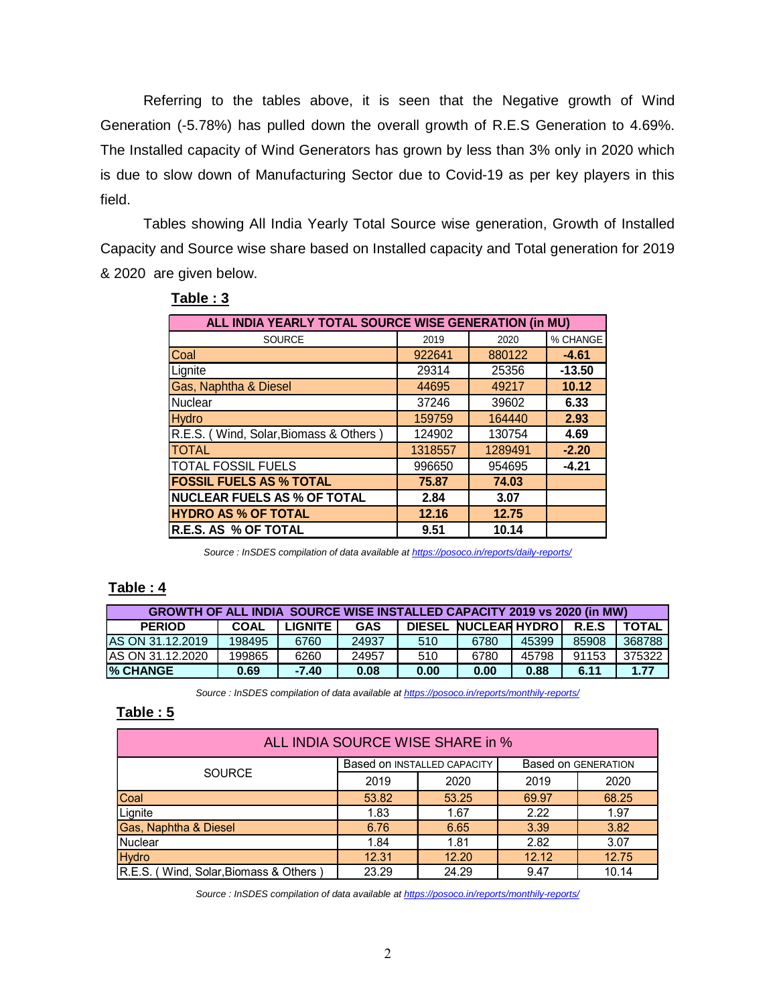Referring to the tables above, it is seen that the Negative growth of Wind Generation (-5.78%) has pulled down the overall growth of R.E.S Generation to 4.69%. The Installed capacity of Wind Generators has grown by less than 3% only in 2020 which is due to slow down of Manufacturing Sector due to Covid-19 as per key players in this field. tables above, it is seen that the Negative growth of Wind<br>pulled down the overall growth of R.E.S Generation to 4.69%.<br>Wind Generators has grown by less than 3% only in 2020 which<br>fanufacturing Sector due to Covid-19 as p Fring to the tables above, it is seen that the Negative growth of Wind<br>
(-5.78%) has pulled down the overall growth of R.E.S Generation to 4.69%.<br>
Ed capacity of Wind Generators has grown by less than 3% only in 2020 whic

|                                                                                       |              |                                |                                                                                              |                |                  |                      |                | Referring to the tables above, it is seen that the Negative growth of Wind              |                  |
|---------------------------------------------------------------------------------------|--------------|--------------------------------|----------------------------------------------------------------------------------------------|----------------|------------------|----------------------|----------------|-----------------------------------------------------------------------------------------|------------------|
|                                                                                       |              |                                |                                                                                              |                |                  |                      |                | ieneration (-5.78%) has pulled down the overall growth of R.E.S Generation to 4.69%.    |                  |
| he Installed capacity of Wind Generators has grown by less than 3% only in 2020 which |              |                                |                                                                                              |                |                  |                      |                |                                                                                         |                  |
|                                                                                       |              |                                |                                                                                              |                |                  |                      |                | due to slow down of Manufacturing Sector due to Covid-19 as per key players in this     |                  |
| eld.                                                                                  |              |                                |                                                                                              |                |                  |                      |                |                                                                                         |                  |
|                                                                                       |              |                                |                                                                                              |                |                  |                      |                |                                                                                         |                  |
|                                                                                       |              |                                |                                                                                              |                |                  |                      |                | Tables showing All India Yearly Total Source wise generation, Growth of Installed       |                  |
|                                                                                       |              |                                |                                                                                              |                |                  |                      |                | apacity and Source wise share based on Installed capacity and Total generation for 2019 |                  |
| 2020 are given below.                                                                 |              |                                |                                                                                              |                |                  |                      |                |                                                                                         |                  |
|                                                                                       | Table: 3     |                                |                                                                                              |                |                  |                      |                |                                                                                         |                  |
|                                                                                       |              |                                | ALL INDIA YEARLY TOTAL SOURCE WISE GENERATION (in MU)                                        |                |                  |                      |                |                                                                                         |                  |
|                                                                                       |              |                                | SOURCE                                                                                       |                | 2019             | 2020                 |                | % CHANGE                                                                                |                  |
|                                                                                       | Coal         |                                |                                                                                              |                | 922641           | 880122               |                | $-4.61$                                                                                 |                  |
|                                                                                       | Lignite      |                                |                                                                                              |                | 29314            | 25356                |                | $-13.50$                                                                                |                  |
|                                                                                       |              | Gas, Naphtha & Diesel          |                                                                                              |                | 44695            | 49217                |                | 10.12                                                                                   |                  |
|                                                                                       | Nuclear      |                                |                                                                                              |                | 37246            | 39602                |                | 6.33                                                                                    |                  |
|                                                                                       | <b>Hydro</b> |                                |                                                                                              |                | 159759<br>124902 | 164440<br>130754     |                | 2.93<br>4.69                                                                            |                  |
|                                                                                       | <b>TOTAL</b> |                                | R.E.S. (Wind, Solar, Biomass & Others)                                                       |                | 1318557          | 1289491              |                | $-2.20$                                                                                 |                  |
|                                                                                       |              | TOTAL FOSSIL FUELS             |                                                                                              |                | 996650           | 954695               |                | $-4.21$                                                                                 |                  |
|                                                                                       |              | <b>FOSSIL FUELS AS % TOTAL</b> |                                                                                              |                | 75.87            | 74.03                |                |                                                                                         |                  |
|                                                                                       |              |                                | <b>NUCLEAR FUELS AS % OF TOTAL</b>                                                           |                | 2.84             | 3.07                 |                |                                                                                         |                  |
|                                                                                       |              | <b>HYDRO AS % OF TOTAL</b>     |                                                                                              |                | 12.16            | 12.75                |                |                                                                                         |                  |
|                                                                                       |              | <b>R.E.S. AS % OF TOTAL</b>    |                                                                                              |                | 9.51             | 10.14                |                |                                                                                         |                  |
|                                                                                       |              |                                | Source : InSDES compilation of data available at https://posoco.in/reports/daily-reports/    |                |                  |                      |                |                                                                                         |                  |
|                                                                                       |              |                                |                                                                                              |                |                  |                      |                |                                                                                         |                  |
| Tabl <u>e : 4</u>                                                                     |              |                                |                                                                                              |                |                  |                      |                |                                                                                         |                  |
|                                                                                       |              |                                |                                                                                              |                |                  |                      |                | GROWTH OF ALL INDIA SOURCE WISE INSTALLED CAPACITY 2019 vs 2020 (in MW)                 |                  |
| <b>PERIOD</b>                                                                         |              | <b>COAL</b>                    | <b>LIGNITE</b>                                                                               | <b>GAS</b>     |                  | DIESEL NUCLEAR HYDRO |                | R.E.S                                                                                   | <b>TOTAL</b>     |
| AS ON 31.12.2019<br>AS ON 31.12.2020                                                  |              | 198495<br>199865               | 6760<br>6260                                                                                 | 24937<br>24957 | 510<br>510       | 6780<br>6780         | 45399<br>45798 | 85908<br>91153                                                                          | 368788<br>375322 |
| % CHANGE                                                                              |              | 0.69                           | $-7.40$                                                                                      | 0.08           | 0.00             | 0.00                 | 0.88           | 6.11                                                                                    | 1.77             |
|                                                                                       |              |                                | Source : InSDES compilation of data available at https://posoco.in/reports/monthily-reports/ |                |                  |                      |                |                                                                                         |                  |
| Table: 5                                                                              |              |                                |                                                                                              |                |                  |                      |                |                                                                                         |                  |
|                                                                                       |              |                                |                                                                                              |                |                  |                      |                |                                                                                         |                  |
|                                                                                       |              |                                | ALL INDIA SOURCE WISE SHARE in %                                                             |                |                  |                      |                |                                                                                         |                  |

### Table : 3

### Table : 4

| <b>GROWTH OF ALL INDIA SOURCE WISE INSTALLED CAPACITY 2019 vs 2020 (in MW)</b> |             |           |            |      |                              |       |       |        |
|--------------------------------------------------------------------------------|-------------|-----------|------------|------|------------------------------|-------|-------|--------|
| <b>PERIOD</b>                                                                  | <b>COAL</b> | LIGNITE I | <b>GAS</b> |      | <b>DIESEL NUCLEAR HYDROL</b> |       | R.E.S | TOTAL  |
| AS ON 31.12.2019                                                               | 198495      | 6760      | 24937      | 510  | 6780                         | 45399 | 85908 | 368788 |
| IAS ON 31.12.2020                                                              | 199865      | 6260      | 24957      | 510  | 6780                         | 45798 | 91153 | 375322 |
| <b>% CHANGE</b>                                                                | 0.69        | $-7.40$   | 0.08       | 0.00 | 0.00                         | 0.88  | 6.11  | 1.77   |

#### Table : 5

|                                  | TUTAL |                                       |                                                                                           |            | 1318557                     | 1789491                     |       | $-2.20$             |              |
|----------------------------------|-------|---------------------------------------|-------------------------------------------------------------------------------------------|------------|-----------------------------|-----------------------------|-------|---------------------|--------------|
|                                  |       | <b>TOTAL FOSSIL FUELS</b>             |                                                                                           |            | 996650                      | 954695                      |       | $-4.21$             |              |
|                                  |       | <b>FOSSIL FUELS AS % TOTAL</b>        |                                                                                           |            | 75.87                       | 74.03                       |       |                     |              |
|                                  |       |                                       | <b>NUCLEAR FUELS AS % OF TOTAL</b>                                                        |            | 2.84                        | 3.07                        |       |                     |              |
|                                  |       | <b>HYDRO AS % OF TOTAL</b>            |                                                                                           |            | 12.16                       | 12.75                       |       |                     |              |
|                                  |       | R.E.S. AS % OF TOTAL                  |                                                                                           |            | 9.51                        | 10.14                       |       |                     |              |
|                                  |       |                                       |                                                                                           |            |                             |                             |       |                     |              |
|                                  |       |                                       | Source : InSDES compilation of data available at https://posoco.in/reports/daily-reports/ |            |                             |                             |       |                     |              |
| <u> `able : 4</u>                |       |                                       | <b>GROWTH OF ALL INDIA SOURCE WISE INSTALLED CAPACITY 2019 vs 2020 (in MW)</b>            |            |                             |                             |       |                     |              |
| <b>PERIOD</b>                    |       | <b>COAL</b>                           | <b>LIGNITE</b>                                                                            | <b>GAS</b> |                             | <b>DIESEL NUCLEAR HYDRO</b> |       | R.E.S               | <b>TOTAL</b> |
| <b>S ON 31.12.2019</b>           |       | 198495                                | 6760                                                                                      | 24937      | 510                         | 6780                        | 45399 | 85908               | 368788       |
| S ON 31.12.2020                  |       | 199865                                | 6260                                                                                      | 24957      | 510                         | 6780                        | 45798 | 91153               | 375322       |
| <b>6 CHANGE</b>                  |       | 0.69                                  | $-7.40$                                                                                   | 0.08       | 0.00                        | 0.00                        | 0.88  | 6.11                | 1.77         |
| Table: 5                         |       |                                       | ALL INDIA SOURCE WISE SHARE in %                                                          |            |                             |                             |       |                     |              |
|                                  |       | SOURCE                                |                                                                                           |            | Based on INSTALLED CAPACITY |                             |       | Based on GENERATION |              |
|                                  |       |                                       |                                                                                           | 2019       |                             | 2020                        | 2019  |                     | 2020         |
|                                  |       |                                       |                                                                                           | 53.82      |                             | 53.25                       | 69.97 |                     | 68.25        |
| Coal                             |       |                                       |                                                                                           |            |                             |                             |       |                     |              |
| Lignite                          |       |                                       |                                                                                           | 1.83       |                             | 1.67                        | 2.22  |                     | 1.97         |
| <b>Gas, Naphtha &amp; Diesel</b> |       |                                       |                                                                                           | 6.76       |                             | 6.65                        | 3.39  |                     | 3.82         |
| Nuclear                          |       |                                       |                                                                                           | 1.84       |                             | 1.81                        | 2.82  |                     | 3.07         |
| <b>Hydro</b>                     |       |                                       |                                                                                           | 12.31      |                             | 12.20                       | 12.12 |                     | 12.75        |
|                                  |       | R.E.S. (Wind, Solar, Biomass & Others |                                                                                           | 23.29      |                             | 24.29                       | 9.47  |                     | 10.14        |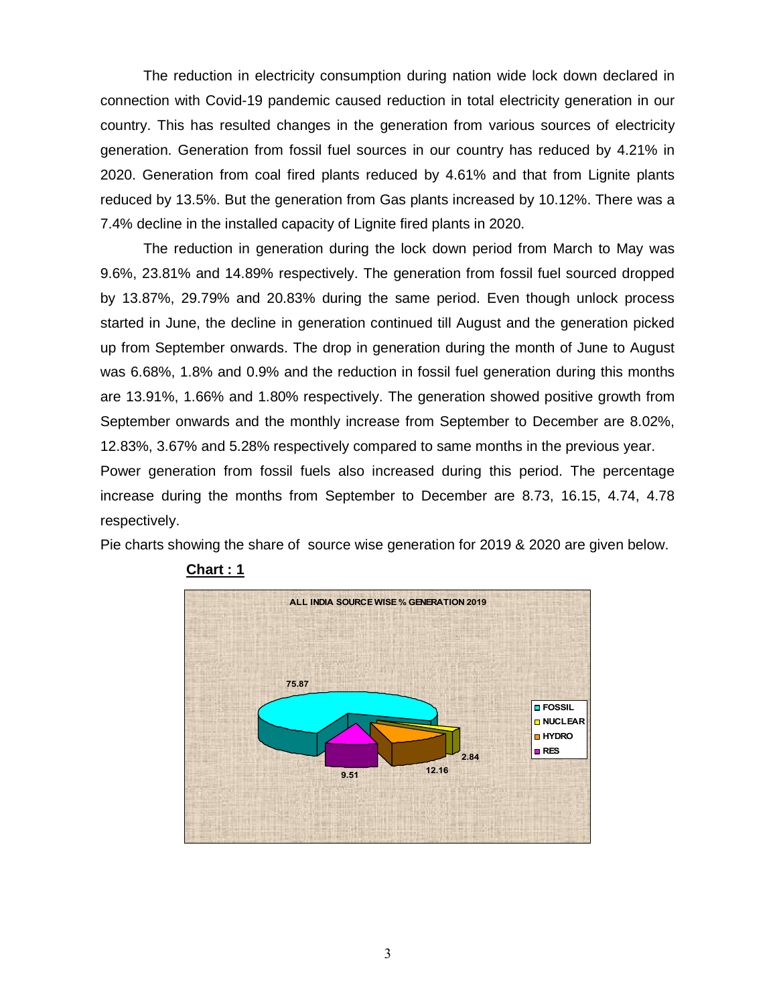The reduction in electricity consumption during nation wide lock down declared in connection with Covid-19 pandemic caused reduction in total electricity generation in our country. This has resulted changes in the generation from various sources of electricity generation. Generation from fossil fuel sources in our country has reduced by 4.21% in 2020. Generation from coal fired plants reduced by 4.61% and that from Lignite plants reduced by 13.5%. But the generation from Gas plants increased by 10.12%. There was a 7.4% decline in the installed capacity of Lignite fired plants in 2020.

The reduction in generation during the lock down period from March to May was 9.6%, 23.81% and 14.89% respectively. The generation from fossil fuel sourced dropped by 13.87%, 29.79% and 20.83% during the same period. Even though unlock process started in June, the decline in generation continued till August and the generation picked up from September onwards. The drop in generation during the month of June to August was 6.68%, 1.8% and 0.9% and the reduction in fossil fuel generation during this months are 13.91%, 1.66% and 1.80% respectively. The generation showed positive growth from September onwards and the monthly increase from September to December are 8.02%, 12.83%, 3.67% and 5.28% respectively compared to same months in the previous year. Power generation from fossil fuels also increased during this period. The percentage increase during the months from September to December are 8.73, 16.15, 4.74, 4.78

Pie charts showing the share of source wise generation for 2019 & 2020 are given below.





respectively.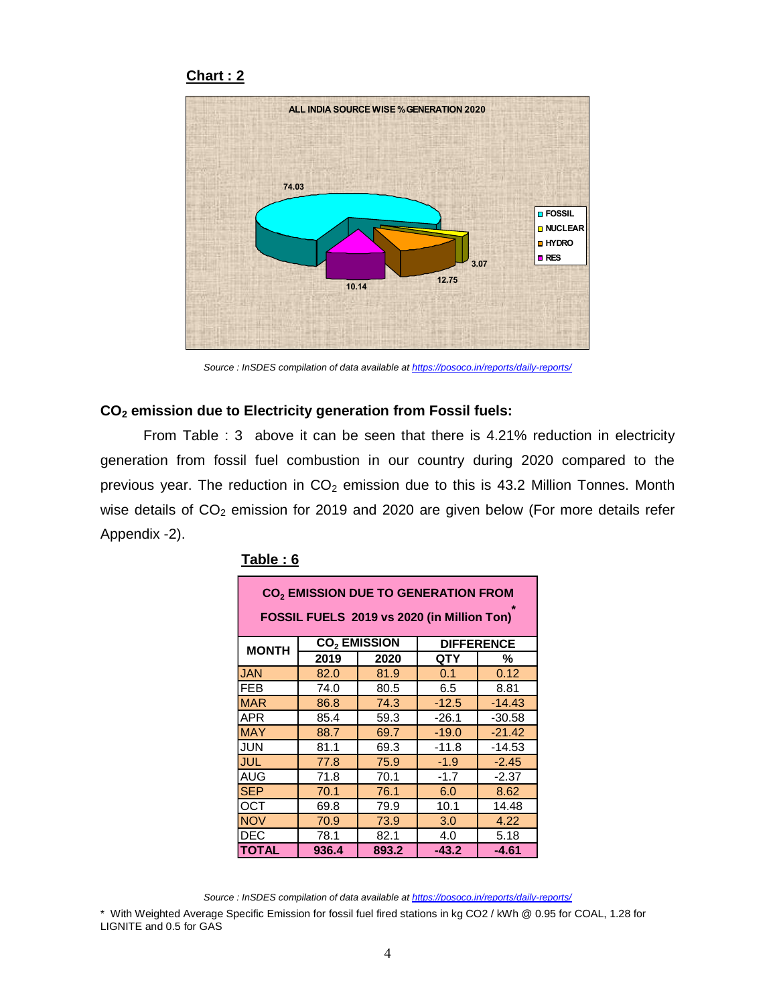### Chart : 2



Source : InSDES compilation of data available at https://posoco.in/reports/daily-reports/

### CO2 emission due to Electricity generation from Fossil fuels:

From Table : 3 above it can be seen that there is 4.21% reduction in electricity generation from fossil fuel combustion in our country during 2020 compared to the previous year. The reduction in  $CO<sub>2</sub>$  emission due to this is 43.2 Million Tonnes. Month wise details of CO<sub>2</sub> emission for 2019 and 2020 are given below (For more details refer Appendix -2). for of data available at https://posoco.in/reports/daily-reports/<br> **generation from Fossil fuels:**<br>
2019 and 2020 are given below (For more details refer<br>
2019 and 2020 are given below (For more details refer<br>
2019 and 20

| Table: 6                 |              |                                | <b>DIFFERENCE</b><br>QTY<br>%<br>0.1<br>0.12<br>6.5<br>8.81<br>$-12.5$<br>$-14.43$<br>$-26.1$<br>$-30.58$<br>$-19.0$<br>$-21.42$<br>$-11.8$<br>$-14.53$<br>$-1.9$<br>$-2.45$<br>$-1.7$<br>$-2.37$<br>6.0<br>8.62<br>10.1<br>14.48<br>3.0<br>4.22<br>4.0<br>5.18<br>$-43.2$<br>-4.61                                                                                                                                                                                                                                                                                                                                                                                                                                 |  |
|--------------------------|--------------|--------------------------------|---------------------------------------------------------------------------------------------------------------------------------------------------------------------------------------------------------------------------------------------------------------------------------------------------------------------------------------------------------------------------------------------------------------------------------------------------------------------------------------------------------------------------------------------------------------------------------------------------------------------------------------------------------------------------------------------------------------------|--|
|                          |              |                                | : InSDES compilation of data available at https://posoco.in/reports/daily-reports/<br><b>D</b> Electricity generation from Fossil fuels:<br>3 above it can be seen that there is 4.21% reduction in electricity<br>sil fuel combustion in our country during 2020 compared to the<br>eduction in $CO2$ emission due to this is 43.2 Million Tonnes. Month<br>emission for 2019 and 2020 are given below (For more details refer<br>CO <sub>2</sub> EMISSION DUE TO GENERATION FROM<br>FOSSIL FUELS 2019 vs 2020 (in Million Ton)<br>: InSDES compilation of data available at https://posoco.in/reports/daily-reports/<br>becific Emission for fossil fuel fired stations in kg CO2 / kWh @ 0.95 for COAL, 1.28 for |  |
|                          |              |                                |                                                                                                                                                                                                                                                                                                                                                                                                                                                                                                                                                                                                                                                                                                                     |  |
|                          |              |                                |                                                                                                                                                                                                                                                                                                                                                                                                                                                                                                                                                                                                                                                                                                                     |  |
|                          |              |                                |                                                                                                                                                                                                                                                                                                                                                                                                                                                                                                                                                                                                                                                                                                                     |  |
| <b>MONTH</b>             |              | <b>CO<sub>2</sub> EMISSION</b> |                                                                                                                                                                                                                                                                                                                                                                                                                                                                                                                                                                                                                                                                                                                     |  |
|                          | 2019         | 2020                           |                                                                                                                                                                                                                                                                                                                                                                                                                                                                                                                                                                                                                                                                                                                     |  |
| <b>JAN</b><br><b>FEB</b> | 82.0         | 81.9                           |                                                                                                                                                                                                                                                                                                                                                                                                                                                                                                                                                                                                                                                                                                                     |  |
| <b>MAR</b>               | 74.0<br>86.8 | 80.5<br>74.3                   |                                                                                                                                                                                                                                                                                                                                                                                                                                                                                                                                                                                                                                                                                                                     |  |
| <b>APR</b>               | 85.4         | 59.3                           |                                                                                                                                                                                                                                                                                                                                                                                                                                                                                                                                                                                                                                                                                                                     |  |
| <b>MAY</b>               | 88.7         | 69.7                           |                                                                                                                                                                                                                                                                                                                                                                                                                                                                                                                                                                                                                                                                                                                     |  |
| <b>JUN</b>               | 81.1         | 69.3                           |                                                                                                                                                                                                                                                                                                                                                                                                                                                                                                                                                                                                                                                                                                                     |  |
| <b>JUL</b>               | 77.8         | 75.9                           |                                                                                                                                                                                                                                                                                                                                                                                                                                                                                                                                                                                                                                                                                                                     |  |
| <b>AUG</b>               | 71.8         | 70.1                           |                                                                                                                                                                                                                                                                                                                                                                                                                                                                                                                                                                                                                                                                                                                     |  |
| <b>SEP</b>               | 70.1         | 76.1                           |                                                                                                                                                                                                                                                                                                                                                                                                                                                                                                                                                                                                                                                                                                                     |  |
| <b>OCT</b>               | 69.8         | 79.9                           |                                                                                                                                                                                                                                                                                                                                                                                                                                                                                                                                                                                                                                                                                                                     |  |
| <b>NOV</b>               | 70.9         | 73.9                           |                                                                                                                                                                                                                                                                                                                                                                                                                                                                                                                                                                                                                                                                                                                     |  |
| <b>DEC</b>               | 78.1         | 82.1                           |                                                                                                                                                                                                                                                                                                                                                                                                                                                                                                                                                                                                                                                                                                                     |  |
| <b>TOTAL</b>             | 936.4        | 893.2                          |                                                                                                                                                                                                                                                                                                                                                                                                                                                                                                                                                                                                                                                                                                                     |  |
|                          |              |                                |                                                                                                                                                                                                                                                                                                                                                                                                                                                                                                                                                                                                                                                                                                                     |  |
|                          |              |                                |                                                                                                                                                                                                                                                                                                                                                                                                                                                                                                                                                                                                                                                                                                                     |  |
|                          |              |                                |                                                                                                                                                                                                                                                                                                                                                                                                                                                                                                                                                                                                                                                                                                                     |  |
|                          |              |                                |                                                                                                                                                                                                                                                                                                                                                                                                                                                                                                                                                                                                                                                                                                                     |  |
|                          |              |                                |                                                                                                                                                                                                                                                                                                                                                                                                                                                                                                                                                                                                                                                                                                                     |  |

#### Table : 6

<sup>\*</sup> With Weighted Average Specific Emission for fossil fuel fired stations in kg CO2 / kWh @ 0.95 for COAL, 1.28 for LIGNITE and 0.5 for GAS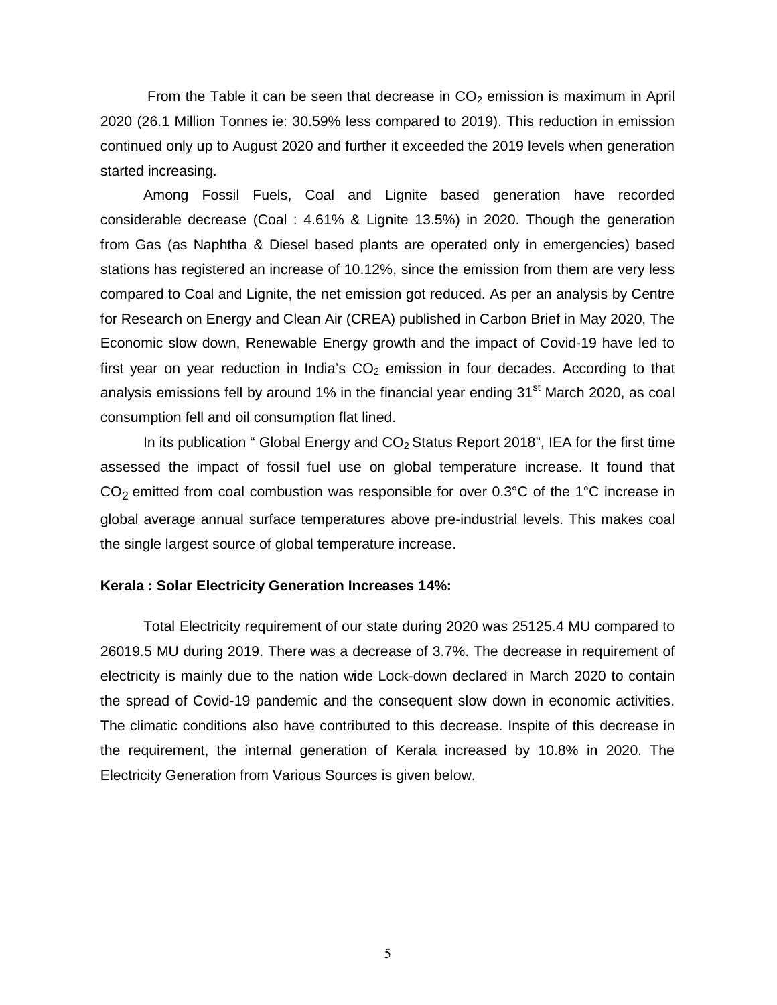From the Table it can be seen that decrease in  $CO<sub>2</sub>$  emission is maximum in April 2020 (26.1 Million Tonnes ie: 30.59% less compared to 2019). This reduction in emission continued only up to August 2020 and further it exceeded the 2019 levels when generation started increasing.

Among Fossil Fuels, Coal and Lignite based generation have recorded considerable decrease (Coal : 4.61% & Lignite 13.5%) in 2020. Though the generation from Gas (as Naphtha & Diesel based plants are operated only in emergencies) based stations has registered an increase of 10.12%, since the emission from them are very less compared to Coal and Lignite, the net emission got reduced. As per an analysis by Centre for Research on Energy and Clean Air (CREA) published in Carbon Brief in May 2020, The Economic slow down, Renewable Energy growth and the impact of Covid-19 have led to first year on year reduction in India's  $CO<sub>2</sub>$  emission in four decades. According to that analysis emissions fell by around  $1\%$  in the financial year ending  $31^\text{st}$  March 2020, as coal consumption fell and oil consumption flat lined.

In its publication " Global Energy and  $CO<sub>2</sub>$  Status Report 2018", IEA for the first time assessed the impact of fossil fuel use on global temperature increase. It found that CO<sub>2</sub> emitted from coal combustion was responsible for over 0.3°C of the 1°C increase in global average annual surface temperatures above pre-industrial levels. This makes coal the single largest source of global temperature increase.

### Kerala : Solar Electricity Generation Increases 14%:

 Total Electricity requirement of our state during 2020 was 25125.4 MU compared to 26019.5 MU during 2019. There was a decrease of 3.7%. The decrease in requirement of electricity is mainly due to the nation wide Lock-down declared in March 2020 to contain the spread of Covid-19 pandemic and the consequent slow down in economic activities. The climatic conditions also have contributed to this decrease. Inspite of this decrease in the requirement, the internal generation of Kerala increased by 10.8% in 2020. The Electricity Generation from Various Sources is given below.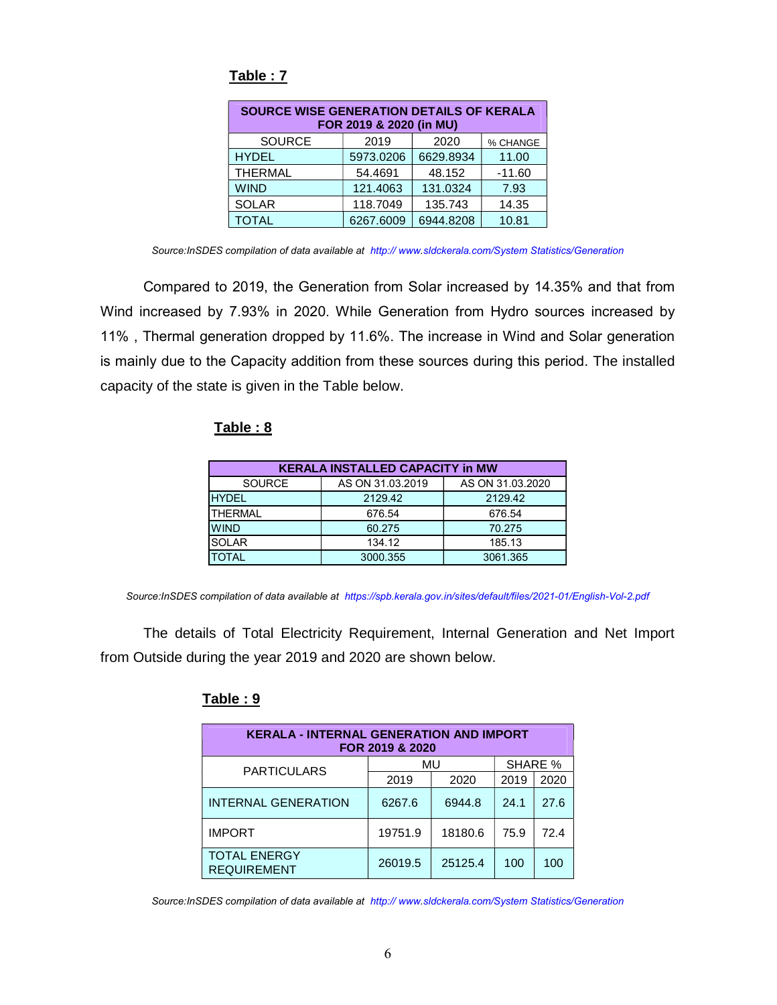| SOURCE WISE GENERATION DETAILS OF KERALA | FOR 2019 & 2020 (in MU) |           |          |
|------------------------------------------|-------------------------|-----------|----------|
| <b>SOURCE</b>                            | 2019                    | 2020      | % CHANGE |
| <b>HYDEL</b>                             | 5973.0206               | 6629.8934 | 11.00    |
| <b>THERMAL</b>                           | 54.4691                 | 48.152    | $-11.60$ |
| <b>WIND</b>                              | 121.4063                | 131.0324  | 7.93     |
| <b>SOLAR</b>                             | 118.7049                | 135.743   | 14.35    |
| <b>TOTAL</b>                             | 6267.6009               | 6944.8208 | 10.81    |

## Table : 7

Source:InSDES compilation of data available at http:// www.sldckerala.com/System Statistics/Generation

Compared to 2019, the Generation from Solar increased by 14.35% and that from Wind increased by 7.93% in 2020. While Generation from Hydro sources increased by 11% , Thermal generation dropped by 11.6%. The increase in Wind and Solar generation is mainly due to the Capacity addition from these sources during this period. The installed capacity of the state is given in the Table below. VDEL<br>
HERMALL 5973.0206 6629.8934 11.00<br>
IND 54.4691 48.52<br>
OILAR 118.7049 135.743 14.35<br>
OILAR 118.7049 135.743 14.35<br>
OTAL 6267.6009 6944.8208 10.81<br>
polition of data available at http://www.sidckerala.com/System Statis WIND 54.4691 48.514<br>
WIND 54.4694 13.0324 7.93<br>
SOLAR 118.7049 135.743 14.35<br>
TOTAL 6267.6009 6944.8208 10.81<br>
ES compliation of data available at http://www.sidckerala.com/System Statistics/Generation<br>
to 2019, the Gener WIND<br>  $\frac{121.4063}{\text{SOLAR}}$   $\frac{18.7049}{\text{SOLAR}}$   $\frac{18.7049}{\text{SOLAR}}$   $\frac{18.743}{\text{S.76009}}$   $\frac{6944.8208}{\text{S.76009}}$   $\frac{6944.8208}{\text{S.76009}}$   $\frac{10.31}{\text{S.76009}}$   $\frac{10.31}{\text{S.76009}}$   $\frac{10.31}{\text{S.76009}}$   $\frac{$ **SOLAR** 118.7049 135.743 14.35<br> **ESCOND 60.27.6009 6944.8208 10.81**<br>
ESCONDIBUTES COMPUTES CONDUCTED AND THE SCONDITION of data available at http://www.sidokerala.com/System Statistics/Generation<br>
to 2019, the Generation TOTAL 6267.6009 6944.8208 10.81<br>
ES compilation of data available at http://www.sidckerala.com/System Statistics/Generation<br>
to 2019, the Generation from Solar increased by 14.35% and that from<br>
134.3% in 2020. While Gener Es compilation of data available at http://www.sidckerala.com/System Statistics/Generation<br>to 2019, the Generation from Solar increased by 14.35% and that from<br>by 7.93% in 2020. While Generation from Hydro sources increase

## Table : 8

| <b>KERALA INSTALLED CAPACITY in MW</b> |                  |                  |  |  |  |  |
|----------------------------------------|------------------|------------------|--|--|--|--|
| <b>SOURCE</b>                          | AS ON 31.03.2019 | AS ON 31.03.2020 |  |  |  |  |
| <b>HYDEL</b>                           | 2129.42          | 2129.42          |  |  |  |  |
| <b>THERMAL</b>                         | 676.54           | 676.54           |  |  |  |  |
| <b>WIND</b>                            | 60.275           | 70.275           |  |  |  |  |
| <b>SOLAR</b>                           | 134.12           | 185.13           |  |  |  |  |
| <b>TOTAL</b>                           | 3000.355         | 3061.365         |  |  |  |  |

Source:InSDES compilation of data available at https://spb.kerala.gov.in/sites/default/files/2021-01/English-Vol-2.pdf

The details of Total Electricity Requirement, Internal Generation and Net Import from Outside during the year 2019 and 2020 are shown below.

### Table : 9

| <b>KERALA - INTERNAL GENERATION AND IMPORT</b> | FOR 2019 & 2020 |         |      |         |
|------------------------------------------------|-----------------|---------|------|---------|
| <b>PARTICULARS</b>                             |                 | MU      |      | SHARE % |
|                                                | 2019            | 2020    | 2019 | 2020    |
| <b>INTERNAL GENERATION</b>                     | 6267.6          | 6944.8  | 24.1 | 27.6    |
| <b>IMPORT</b>                                  | 19751.9         | 18180.6 | 75.9 | 72.4    |
| <b>TOTAL ENERGY</b><br><b>REOUIREMENT</b>      | 26019.5         | 25125.4 | 100  | 100     |

Source:InSDES compilation of data available at http:// www.sldckerala.com/System Statistics/Generation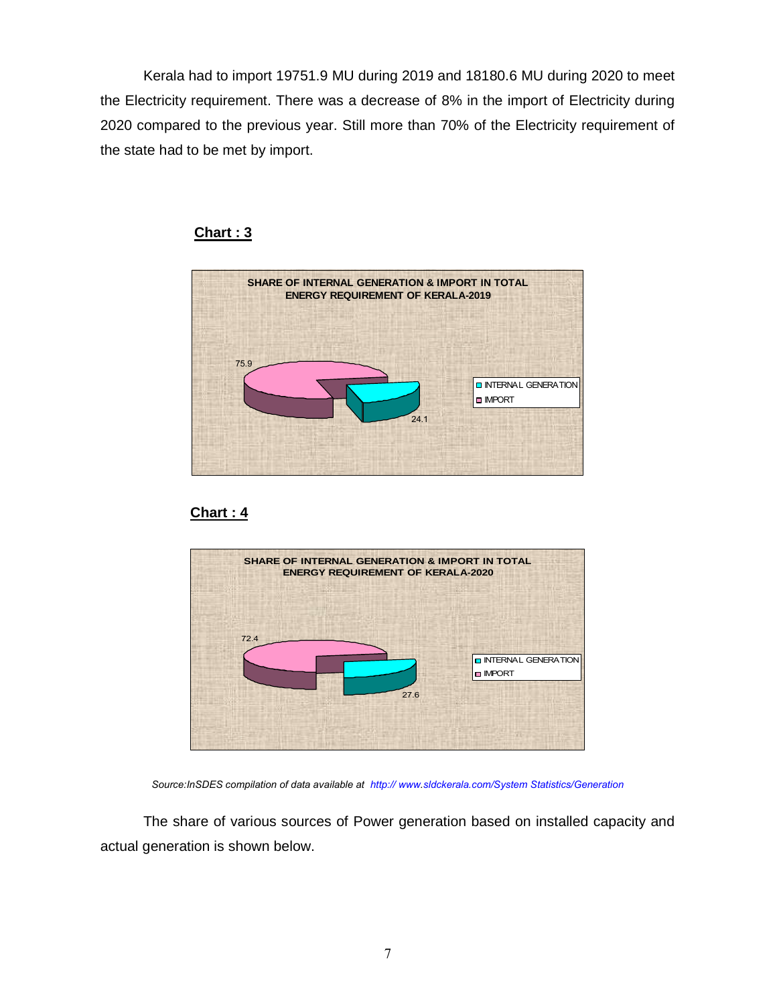Kerala had to import 19751.9 MU during 2019 and 18180.6 MU during 2020 to meet the Electricity requirement. There was a decrease of 8% in the import of Electricity during 2020 compared to the previous year. Still more than 70% of the Electricity requirement of the state had to be met by import.



## Chart : 3





Source:InSDES compilation of data available at http:// www.sldckerala.com/System Statistics/Generation

 The share of various sources of Power generation based on installed capacity and actual generation is shown below.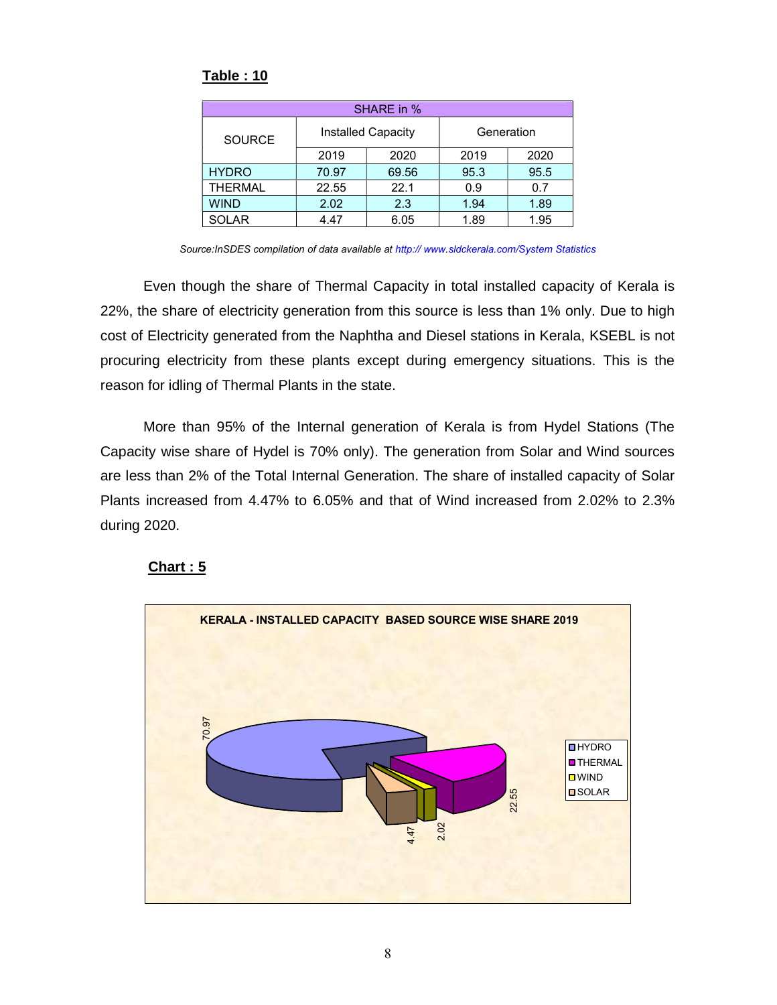|                |       | SHARE in %         |            |      |
|----------------|-------|--------------------|------------|------|
| <b>SOURCE</b>  |       | Installed Capacity | Generation |      |
|                | 2019  | 2020               | 2019       | 2020 |
| <b>HYDRO</b>   | 70.97 | 69.56              | 95.3       | 95.5 |
| <b>THERMAL</b> | 22.55 | 22.1               | 0.9        | 0.7  |
| <b>WIND</b>    | 2.02  | 2.3                | 1.94       | 1.89 |
| <b>SOLAR</b>   | 4.47  | 6.05               | 1.89       | 1.95 |

## Table : 10

Source:InSDES compilation of data available at http://www.sldckerala.com/System Statistics

Even though the share of Thermal Capacity in total installed capacity of Kerala is 22%, the share of electricity generation from this source is less than 1% only. Due to high cost of Electricity generated from the Naphtha and Diesel stations in Kerala, KSEBL is not procuring electricity from these plants except during emergency situations. This is the reason for idling of Thermal Plants in the state.

More than 95% of the Internal generation of Kerala is from Hydel Stations (The Capacity wise share of Hydel is 70% only). The generation from Solar and Wind sources are less than 2% of the Total Internal Generation. The share of installed capacity of Solar Plants increased from 4.47% to 6.05% and that of Wind increased from 2.02% to 2.3% during 2020.

## Chart : 5

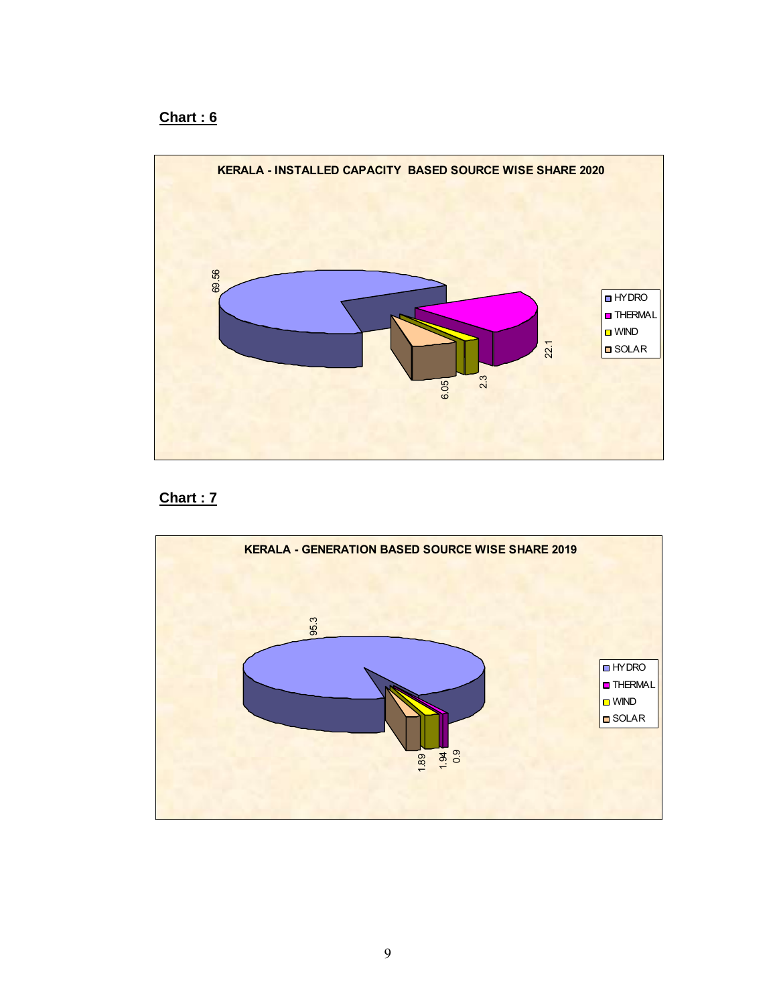## Chart : 6





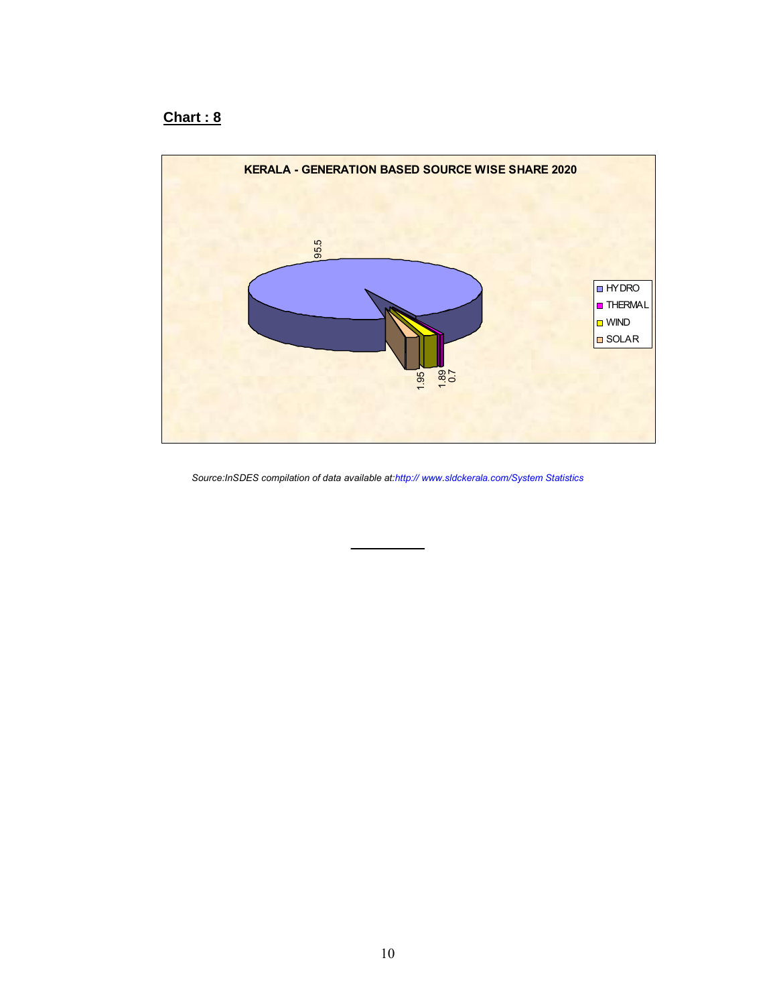## Chart : 8



Source:InSDES compilation of data available at:http:// www.sldckerala.com/System Statistics

 $\mathcal{L}_\text{max}$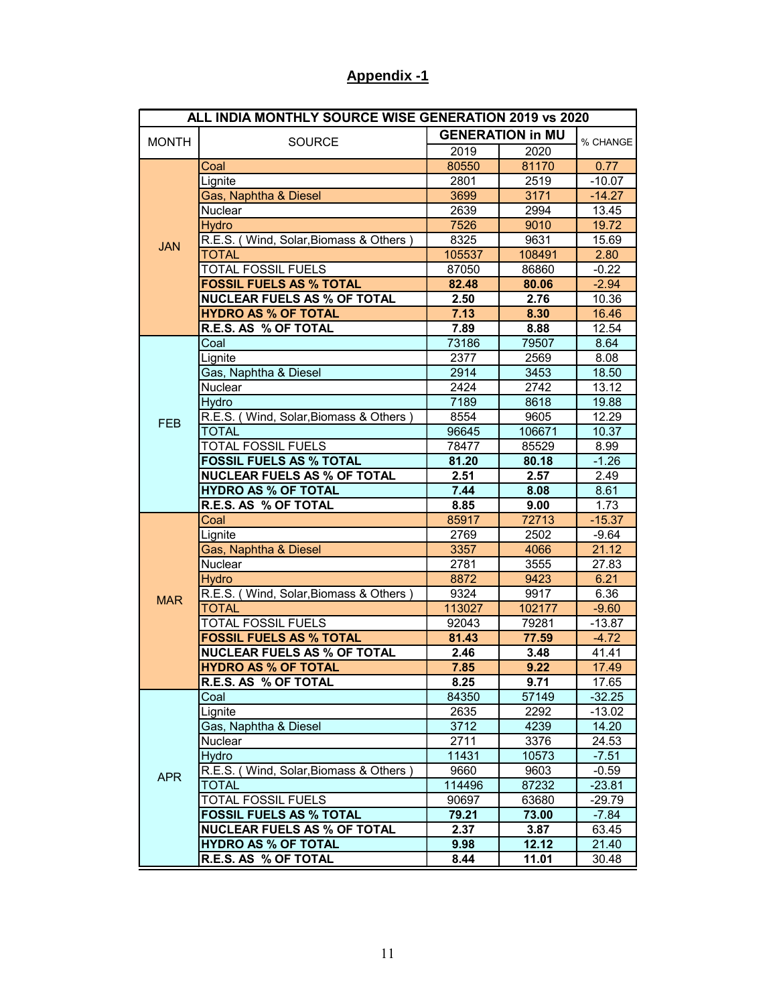|              | <b>Appendix -1</b>                                                   |                |                         |                      |
|--------------|----------------------------------------------------------------------|----------------|-------------------------|----------------------|
|              |                                                                      |                |                         |                      |
|              | ALL INDIA MONTHLY SOURCE WISE GENERATION 2019 vs 2020                |                | <b>GENERATION in MU</b> |                      |
| <b>MONTH</b> | <b>SOURCE</b>                                                        | 2019           | 2020                    | % CHANGE             |
|              | Coal                                                                 | 80550          | 81170                   | 0.77                 |
|              | Lignite<br>Gas, Naphtha & Diesel                                     | 2801<br>3699   | 2519<br>3171            | $-10.07$<br>$-14.27$ |
|              | Nuclear                                                              | 2639           | 2994                    | 13.45                |
|              | <b>Hydro</b><br>R.E.S. (Wind, Solar, Biomass & Others                | 7526<br>8325   | 9010<br>9631            | 19.72<br>15.69       |
| <b>JAN</b>   | <b>TOTAL</b>                                                         | 105537         | 108491                  | 2.80                 |
|              | <b>TOTAL FOSSIL FUELS</b>                                            | 87050          | 86860                   | $-0.22$              |
|              | <b>FOSSIL FUELS AS % TOTAL</b><br><b>NUCLEAR FUELS AS % OF TOTAL</b> | 82.48<br>2.50  | 80.06<br>2.76           | $-2.94$<br>10.36     |
|              | <b>HYDRO AS % OF TOTAL</b>                                           | 7.13           | 8.30                    | 16.46                |
|              | R.E.S. AS % OF TOTAL<br>Coal                                         | 7.89<br>73186  | 8.88<br>79507           | 12.54<br>8.64        |
|              | ∟ignite                                                              | 2377           | 2569                    | 8.08                 |
|              | Gas, Naphtha & Diesel                                                | 2914           | 3453                    | 18.50                |
|              | Nuclear<br><b>Hydro</b>                                              | 2424<br>7189   | 2742<br>8618            | 13.12<br>19.88       |
| <b>FEB</b>   | R.E.S. (Wind, Solar, Biomass & Others)                               | 8554           | 9605                    | 12.29                |
|              | <b>TOTAL</b>                                                         | 96645          | 106671                  | 10.37                |
|              | <b>TOTAL FOSSIL FUELS</b><br><b>FOSSIL FUELS AS % TOTAL</b>          | 78477<br>81.20 | 85529<br>80.18          | 8.99<br>$-1.26$      |
|              | <b>NUCLEAR FUELS AS % OF TOTAL</b>                                   | 2.51           | 2.57                    | 2.49                 |
|              | <b>HYDRO AS % OF TOTAL</b><br>R.E.S. AS % OF TOTAL                   | 7.44<br>8.85   | 8.08<br>9.00            | 8.61<br>1.73         |
|              | Coal                                                                 | 85917          | 72713                   | $-15.37$             |
|              | Lignite                                                              | 2769           | 2502                    | $-9.64$              |
|              | <b>Gas, Naphtha &amp; Diesel</b><br>Nuclear                          | 3357<br>2781   | 4066<br>3555            | 21.12<br>27.83       |
|              | <b>Hydro</b>                                                         | 8872           | 9423                    | 6.21                 |
| <b>MAR</b>   | R.E.S. (Wind, Solar, Biomass & Others)<br><b>TOTAL</b>               | 9324<br>113027 | 9917<br>102177          | 6.36<br>$-9.60$      |
|              | <b>TOTAL FOSSIL FUELS</b>                                            | 92043          | 79281                   | $-13.87$             |
|              | <b>FOSSIL FUELS AS % TOTAL</b>                                       | 81.43          | 77.59                   | $-4.72$              |
|              | <b>NUCLEAR FUELS AS % OF TOTAL</b><br><b>HYDRO AS % OF TOTAL</b>     | 2.46<br>7.85   | 3.48<br>9.22            | 41.41<br>17.49       |
|              | R.E.S. AS % OF TOTAL                                                 | 8.25           | 9.71                    | 17.65                |
|              | Coal<br>Lignite                                                      | 84350<br>2635  | 57149<br>2292           | $-32.25$<br>$-13.02$ |
|              | Gas, Naphtha & Diesel                                                | 3712           | 4239                    | 14.20                |
|              | Nuclear                                                              | 2711           | 3376                    | 24.53                |
|              | <b>Hydro</b><br>R.E.S. (Wind, Solar, Biomass & Others)               | 11431<br>9660  | 10573<br>9603           | $-7.51$<br>$-0.59$   |
| <b>APR</b>   | <b>TOTAL</b>                                                         | 114496         | 87232                   | $-23.81$             |
|              | <b>TOTAL FOSSIL FUELS</b>                                            | 90697          | 63680                   | $-29.79$             |
|              | <b>FOSSIL FUELS AS % TOTAL</b><br><b>NUCLEAR FUELS AS % OF TOTAL</b> | 79.21<br>2.37  | 73.00<br>3.87           | $-7.84$<br>63.45     |
|              | <b>HYDRO AS % OF TOTAL</b><br>R.E.S. AS % OF TOTAL                   | 9.98           | 12.12                   | 21.40                |
|              |                                                                      | 8.44           | 11.01                   | 30.48                |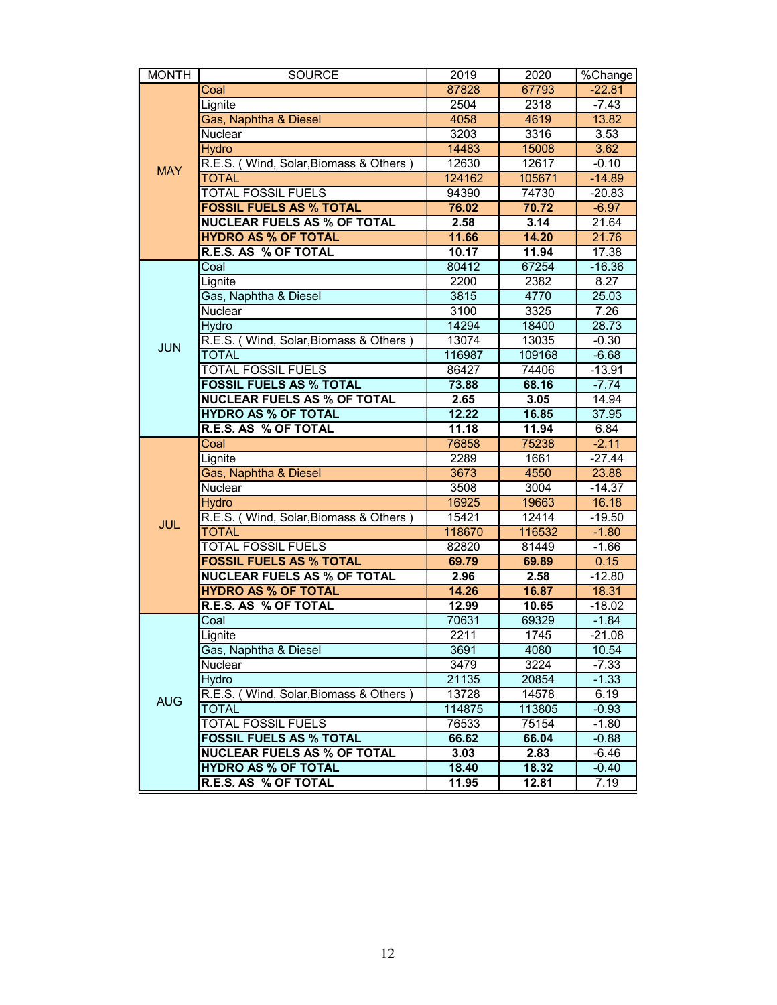| <b>MONTH</b> | <b>SOURCE</b>                                                        | 2019            | 2020            | %Change             |
|--------------|----------------------------------------------------------------------|-----------------|-----------------|---------------------|
|              | Coal<br>Lignite                                                      | 87828<br>2504   | 67793<br>2318   | $-22.81$<br>$-7.43$ |
|              | Gas, Naphtha & Diesel                                                | 4058            | 4619            | 13.82               |
|              | Nuclear<br><b>Hydro</b>                                              | 3203<br>14483   | 3316<br>15008   | 3.53<br>3.62        |
|              | R.E.S. (Wind, Solar, Biomass & Others)                               | 12630           | 12617           | $-0.10$             |
| <b>MAY</b>   | <b>TOTAL</b>                                                         | 124162          | 105671          | $-14.89$            |
|              | <b>TOTAL FOSSIL FUELS</b><br><b>FOSSIL FUELS AS % TOTAL</b>          | 94390<br>76.02  | 74730<br>70.72  | $-20.83$<br>$-6.97$ |
|              | <b>NUCLEAR FUELS AS % OF TOTAL</b>                                   | 2.58            | 3.14            | 21.64               |
|              | <b>HYDRO AS % OF TOTAL</b><br>R.E.S. AS % OF TOTAL                   | 11.66<br>10.17  | 14.20<br>11.94  | 21.76<br>17.38      |
|              | Coal                                                                 | 80412           | 67254           | $-16.36$            |
|              | Lignite                                                              | 2200            | 2382            | 8.27                |
|              | Gas, Naphtha & Diesel<br>Nuclear                                     | 3815<br>3100    | 4770<br>3325    | 25.03<br>7.26       |
|              | <b>Hydro</b>                                                         | 14294           | 18400           | 28.73               |
| <b>JUN</b>   | R.E.S. (Wind, Solar, Biomass & Others)<br><b>TOTAL</b>               | 13074<br>116987 | 13035<br>109168 | $-0.30$<br>$-6.68$  |
|              | TOTAL FOSSIL FUELS                                                   | 86427           | 74406           | $-13.91$            |
|              | <b>FOSSIL FUELS AS % TOTAL</b>                                       | 73.88           | 68.16           | $-7.74$             |
|              | <b>NUCLEAR FUELS AS % OF TOTAL</b><br><b>HYDRO AS % OF TOTAL</b>     | 2.65<br>12.22   | 3.05<br>16.85   | 14.94<br>37.95      |
|              | R.E.S. AS % OF TOTAL                                                 | 11.18           | 11.94           | 6.84                |
|              | Coal                                                                 | 76858           | 75238           | $-2.11$             |
|              | Lignite<br>Gas, Naphtha & Diesel                                     | 2289<br>3673    | 1661<br>4550    | $-27.44$<br>23.88   |
|              | Nuclear                                                              | 3508            | 3004            | $-14.37$            |
|              | <b>Hydro</b><br>R.E.S. (Wind, Solar, Biomass & Others)               | 16925<br>15421  | 19663<br>12414  | 16.18<br>$-19.50$   |
| <b>JUL</b>   | <b>TOTAL</b>                                                         | 118670          | 116532          | $-1.80$             |
|              | <b>TOTAL FOSSIL FUELS</b>                                            | 82820           | 81449           | $-1.66$             |
|              | <b>FOSSIL FUELS AS % TOTAL</b><br><b>NUCLEAR FUELS AS % OF TOTAL</b> | 69.79<br>2.96   | 69.89<br>2.58   | 0.15<br>$-12.80$    |
|              | <b>HYDRO AS % OF TOTAL</b>                                           | 14.26           | 16.87           | 18.31               |
|              | R.E.S. AS % OF TOTAL<br>Coal                                         | 12.99<br>70631  | 10.65<br>69329  | $-18.02$<br>$-1.84$ |
|              | Lignite                                                              | 2211            | 1745            | $-21.08$            |
|              | Gas, Naphtha & Diesel                                                | 3691            | 4080            | 10.54               |
|              | Nuclear<br><b>Hydro</b>                                              | 3479<br>21135   | 3224<br>20854   | $-7.33$<br>$-1.33$  |
| <b>AUG</b>   | R.E.S. (Wind, Solar, Biomass & Others                                | 13728           | 14578           | 6.19                |
|              | <b>TOTAL</b><br><b>TOTAL FOSSIL FUELS</b>                            | 114875<br>76533 | 113805<br>75154 | $-0.93$<br>$-1.80$  |
|              |                                                                      |                 |                 |                     |
|              | <b>FOSSIL FUELS AS % TOTAL</b>                                       | 66.62           | 66.04           | $-0.88$             |
|              | <b>NUCLEAR FUELS AS % OF TOTAL</b><br><b>HYDRO AS % OF TOTAL</b>     | 3.03<br>18.40   | 2.83<br>18.32   | $-6.46$<br>$-0.40$  |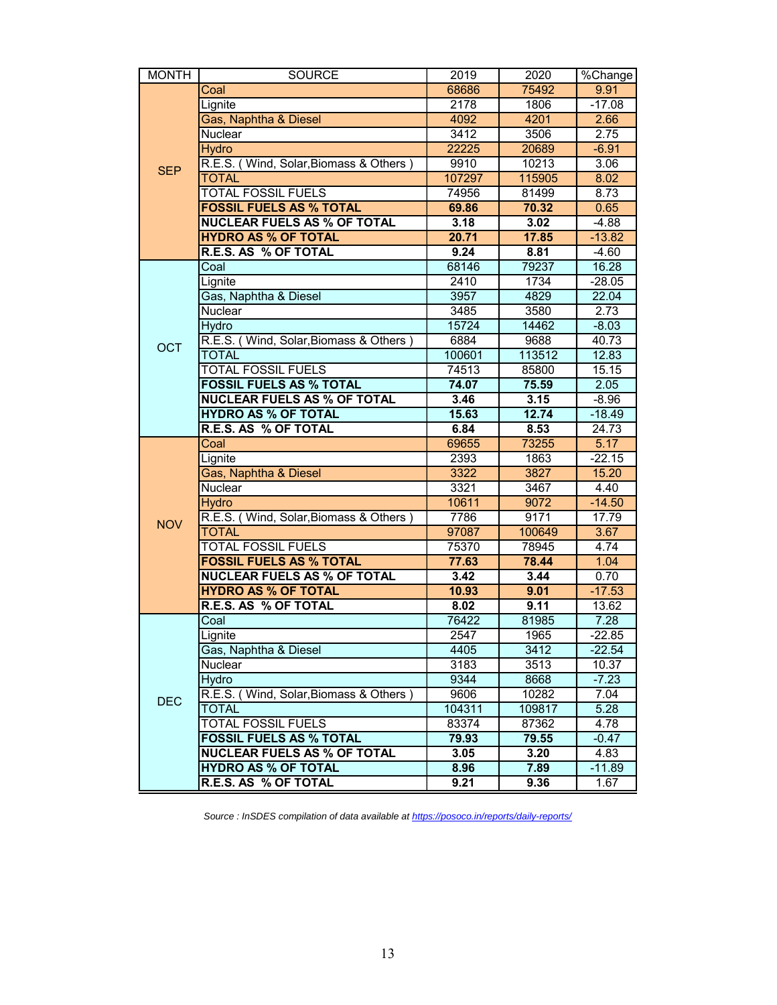| <b>MONTH</b> | <b>SOURCE</b><br>Coal                                                | 2019<br>68686   | 2020<br>75492   | %Change<br>9.91     |
|--------------|----------------------------------------------------------------------|-----------------|-----------------|---------------------|
|              | Lignite                                                              | 2178            | 1806            | $-17.08$            |
|              | Gas, Naphtha & Diesel                                                | 4092<br>3412    | 4201<br>3506    | 2.66<br>2.75        |
|              | Nuclear<br><b>Hydro</b>                                              | 22225           | 20689           | $-6.91$             |
| <b>SEP</b>   | R.E.S. (Wind, Solar, Biomass & Others)                               | 9910            | 10213           | 3.06                |
|              | <b>TOTAL</b><br><b>TOTAL FOSSIL FUELS</b>                            | 107297<br>74956 | 115905<br>81499 | 8.02<br>8.73        |
|              | <b>FOSSIL FUELS AS % TOTAL</b>                                       | 69.86           | 70.32           | 0.65                |
|              | <b>NUCLEAR FUELS AS % OF TOTAL</b>                                   | 3.18            | 3.02            | $-4.88$             |
|              | <b>HYDRO AS % OF TOTAL</b><br>R.E.S. AS % OF TOTAL                   | 20.71<br>9.24   | 17.85<br>8.81   | $-13.82$<br>$-4.60$ |
|              | Coal                                                                 | 68146           | 79237           | 16.28               |
|              | Lignite                                                              | 2410            | 1734            | $-28.05$            |
|              | Gas, Naphtha & Diesel<br>Nuclear                                     | 3957<br>3485    | 4829<br>3580    | 22.04<br>2.73       |
|              | <b>Hydro</b>                                                         | 15724           | 14462           | $-8.03$             |
| <b>OCT</b>   | R.E.S. (Wind, Solar, Biomass & Others)                               | 6884            | 9688<br>113512  | 40.73               |
|              | <b>TOTAL</b><br>TOTAL FOSSIL FUELS                                   | 100601<br>74513 | 85800           | 12.83<br>15.15      |
|              | <b>FOSSIL FUELS AS % TOTAL</b>                                       | 74.07           | 75.59           | 2.05                |
|              | <b>NUCLEAR FUELS AS % OF TOTAL</b><br><b>HYDRO AS % OF TOTAL</b>     | 3.46<br>15.63   | 3.15<br>12.74   | $-8.96$<br>$-18.49$ |
|              | R.E.S. AS % OF TOTAL                                                 | 6.84            | 8.53            | 24.73               |
|              | Coal                                                                 | 69655           | 73255           | 5.17                |
|              | Lignite<br>Gas, Naphtha & Diesel                                     | 2393<br>3322    | 1863<br>3827    | $-22.15$<br>15.20   |
|              | Nuclear                                                              | 3321            | 3467            | 4.40                |
|              | <b>Hydro</b>                                                         | 10611           | 9072            | $-14.50$            |
| <b>NOV</b>   | R.E.S. (Wind, Solar, Biomass & Others)<br><b>TOTAL</b>               | 7786<br>97087   | 9171<br>100649  | 17.79<br>3.67       |
|              | <b>TOTAL FOSSIL FUELS</b>                                            | 75370           | 78945           | 4.74                |
|              | <b>FOSSIL FUELS AS % TOTAL</b><br><b>NUCLEAR FUELS AS % OF TOTAL</b> | 77.63<br>3.42   | 78.44<br>3.44   | 1.04<br>0.70        |
|              | <b>HYDRO AS % OF TOTAL</b>                                           | 10.93           | 9.01            | $-17.53$            |
|              | R.E.S. AS % OF TOTAL                                                 | 8.02            | 9.11            | 13.62               |
|              | Coal<br>Lignite                                                      | 76422<br>2547   | 81985<br>1965   | 7.28<br>$-22.85$    |
|              | Gas, Naphtha & Diesel                                                | 4405            | 3412            | $-22.54$            |
|              | Nuclear<br><b>Hydro</b>                                              | 3183<br>9344    | 3513<br>8668    | 10.37<br>$-7.23$    |
|              | R.E.S. (Wind, Solar, Biomass & Others                                | 9606            | 10282           | 7.04                |
|              | <b>TOTAL</b>                                                         | 104311          | 109817          | 5.28                |
| <b>DEC</b>   |                                                                      | 83374           | 87362           | 4.78                |
|              | <b>TOTAL FOSSIL FUELS</b>                                            |                 |                 |                     |
|              | <b>FOSSIL FUELS AS % TOTAL</b><br><b>NUCLEAR FUELS AS % OF TOTAL</b> | 79.93<br>3.05   | 79.55<br>3.20   | $-0.47$<br>4.83     |
|              | <b>HYDRO AS % OF TOTAL</b><br>R.E.S. AS % OF TOTAL                   | 8.96<br>9.21    | 7.89<br>9.36    | $-11.89$<br>1.67    |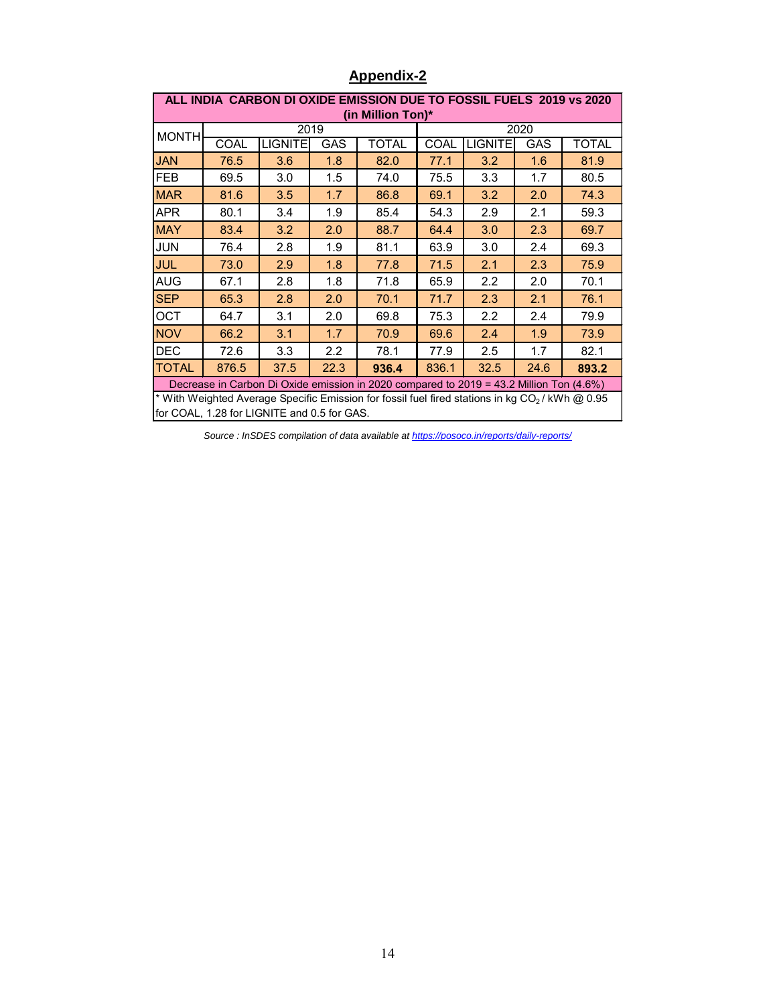|                                                                      |              |                                             |            | <b>Appendix-2</b>                                                                                           |              |                |            |              |
|----------------------------------------------------------------------|--------------|---------------------------------------------|------------|-------------------------------------------------------------------------------------------------------------|--------------|----------------|------------|--------------|
|                                                                      |              |                                             |            | ALL INDIA CARBON DI OXIDE EMISSION DUE TO FOSSIL FUELS 2019 vs 2020                                         |              |                |            |              |
|                                                                      |              |                                             |            | (in Million Ton)*                                                                                           |              |                |            |              |
| <b>MONTH</b>                                                         |              |                                             | 2019       |                                                                                                             |              |                | 2020       |              |
|                                                                      | COAL         | <b>LIGNITE</b>                              | GAS        | <b>TOTAL</b>                                                                                                | COAL         | <b>LIGNITE</b> | GAS        | <b>TOTAL</b> |
| <b>JAN</b><br>FEB                                                    | 76.5<br>69.5 | 3.6<br>3.0                                  | 1.8<br>1.5 | 82.0<br>74.0                                                                                                | 77.1<br>75.5 | 3.2<br>3.3     | 1.6<br>1.7 | 81.9<br>80.5 |
| <b>MAR</b>                                                           | 81.6         | 3.5                                         | 1.7        | 86.8                                                                                                        | 69.1         | 3.2            | 2.0        | 74.3         |
| <b>APR</b>                                                           | 80.1         | 3.4                                         | 1.9        | 85.4                                                                                                        | 54.3         | 2.9            | 2.1        | 59.3         |
| <b>MAY</b>                                                           | 83.4         | 3.2                                         | 2.0        | 88.7                                                                                                        | 64.4         | 3.0            | 2.3        | 69.7         |
| <b>JUN</b>                                                           | 76.4         | 2.8                                         | 1.9        | 81.1                                                                                                        | 63.9         | 3.0            | 2.4        | 69.3         |
|                                                                      |              |                                             |            | 77.8                                                                                                        | 71.5         | 2.1            | 2.3        | 75.9         |
|                                                                      |              |                                             |            |                                                                                                             |              |                |            |              |
| <b>JUL</b>                                                           | 73.0<br>67.1 | 2.9                                         | 1.8        |                                                                                                             | 65.9         |                |            |              |
|                                                                      | 65.3         | 2.8<br>2.8                                  | 1.8<br>2.0 | 71.8<br>70.1                                                                                                | 71.7         | 2.2<br>2.3     | 2.0<br>2.1 | 70.1<br>76.1 |
|                                                                      | 64.7         | 3.1                                         | 2.0        | 69.8                                                                                                        | 75.3         | 2.2            | 2.4        | 79.9         |
|                                                                      | 66.2         | 3.1                                         | 1.7        | 70.9                                                                                                        | 69.6         | 2.4            | 1.9        | 73.9         |
| OCT                                                                  | 72.6         | 3.3                                         | 2.2        | 78.1                                                                                                        | 77.9         | 2.5            | 1.7        | 82.1         |
|                                                                      | 876.5        | 37.5                                        | 22.3       | 936.4                                                                                                       | 836.1        | 32.5           | 24.6       | 893.2        |
|                                                                      |              |                                             |            | Decrease in Carbon Di Oxide emission in 2020 compared to 2019 = 43.2 Million Ton (4.6%)                     |              |                |            |              |
|                                                                      |              |                                             |            | * With Weighted Average Specific Emission for fossil fuel fired stations in kg CO <sub>2</sub> / kWh @ 0.95 |              |                |            |              |
| <b>AUG</b><br><b>SEP</b><br><b>NOV</b><br><b>DEC</b><br><b>TOTAL</b> |              | for COAL, 1.28 for LIGNITE and 0.5 for GAS. |            | Source : InSDES compilation of data available at https://posoco.in/reports/daily-reports/                   |              |                |            |              |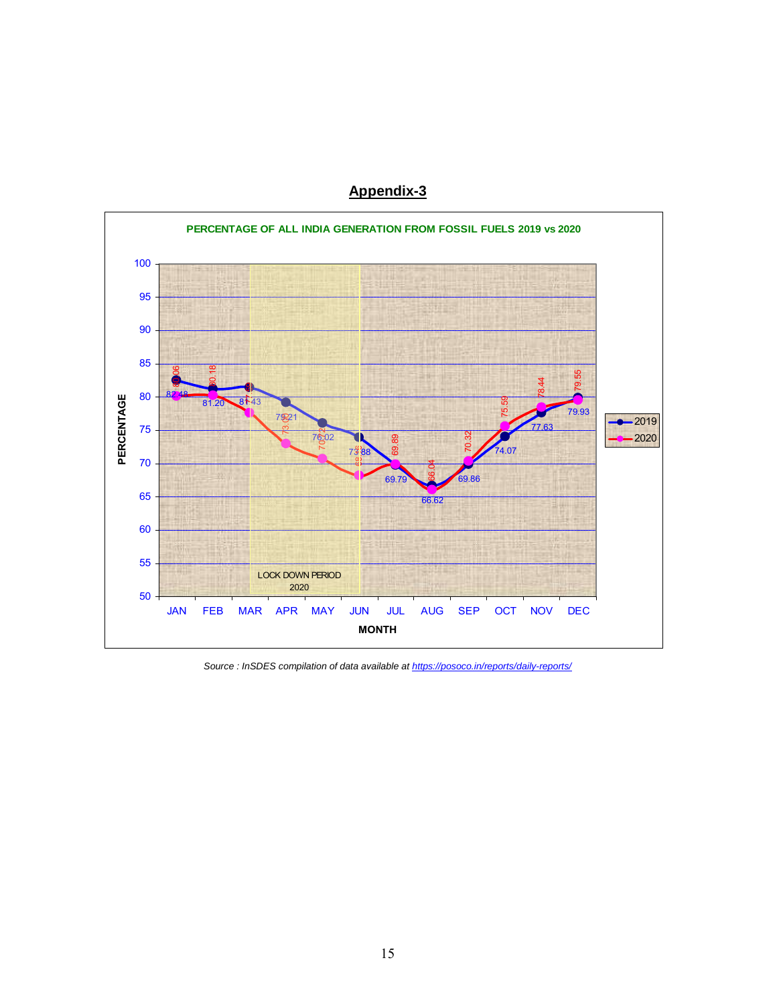

Source : InSDES compilation of data available at https://posoco.in/reports/daily-reports/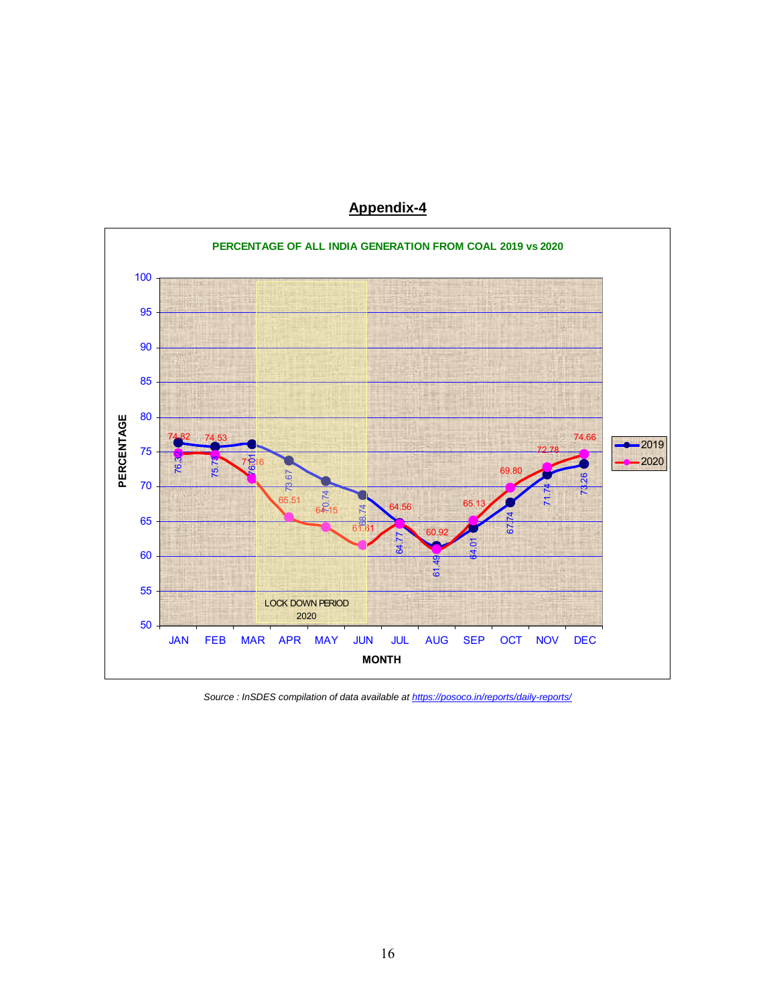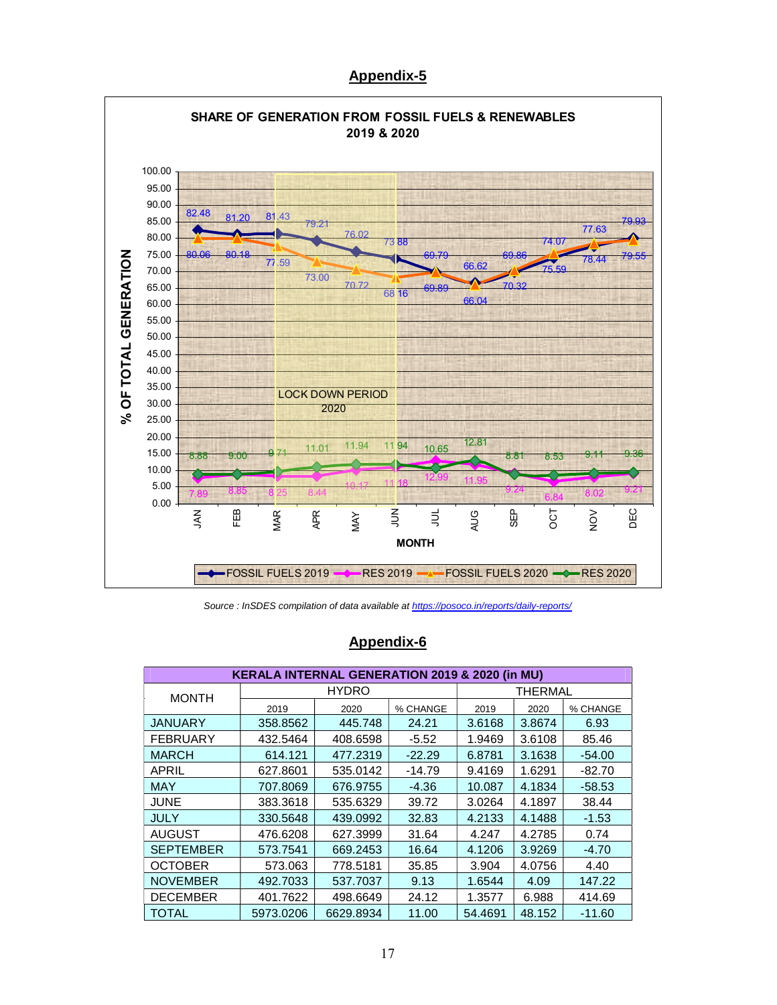

Source : InSDES compilation of data available at https://posoco.in/reports/daily-reports/

## Appendix-6

|                  | <b>KERALA INTERNAL GENERATION 2019 &amp; 2020 (in MU)</b> |              |          |         |                |          |
|------------------|-----------------------------------------------------------|--------------|----------|---------|----------------|----------|
| <b>MONTH</b>     |                                                           | <b>HYDRO</b> |          |         | <b>THERMAL</b> |          |
|                  | 2019                                                      | 2020         | % CHANGE | 2019    | 2020           | % CHANGE |
| <b>JANUARY</b>   | 358.8562                                                  | 445.748      | 24.21    | 3.6168  | 3.8674         | 6.93     |
| <b>FEBRUARY</b>  | 432.5464                                                  | 408.6598     | $-5.52$  | 1.9469  | 3.6108         | 85.46    |
| <b>MARCH</b>     | 614.121                                                   | 477.2319     | $-22.29$ | 6.8781  | 3.1638         | $-54.00$ |
| APRIL            | 627.8601                                                  | 535.0142     | $-14.79$ | 9.4169  | 1.6291         | -82.70   |
| <b>MAY</b>       | 707.8069                                                  | 676.9755     | -4.36    | 10.087  | 4.1834         | $-58.53$ |
| <b>JUNE</b>      | 383.3618                                                  | 535.6329     | 39.72    | 3.0264  | 4.1897         | 38.44    |
| <b>JULY</b>      | 330.5648                                                  | 439.0992     | 32.83    | 4.2133  | 4.1488         | $-1.53$  |
| <b>AUGUST</b>    | 476.6208                                                  | 627.3999     | 31.64    | 4.247   | 4.2785         | 0.74     |
| <b>SEPTEMBER</b> | 573.7541                                                  | 669.2453     | 16.64    | 4.1206  | 3.9269         | $-4.70$  |
| <b>OCTOBER</b>   | 573.063                                                   | 778.5181     | 35.85    | 3.904   | 4.0756         | 4.40     |
| <b>NOVEMBER</b>  | 492.7033                                                  | 537.7037     | 9.13     | 1.6544  | 4.09           | 147.22   |
| <b>DECEMBER</b>  | 401.7622                                                  | 498.6649     | 24.12    | 1.3577  | 6.988          | 414.69   |
| <b>TOTAL</b>     | 5973.0206                                                 | 6629.8934    | 11.00    | 54.4691 | 48.152         | $-11.60$ |